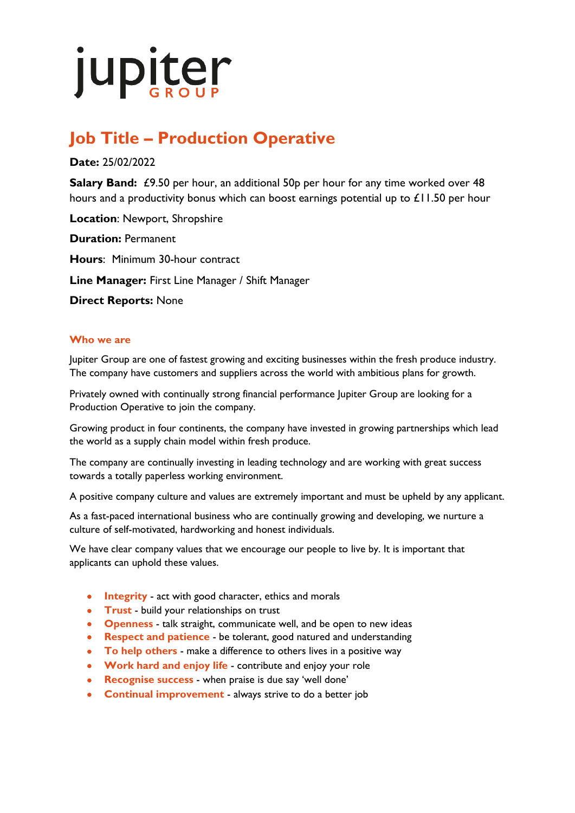# jupiter

## **Job Title – Production Operative**

### **Date:** 25/02/2022

**Salary Band:** £9.50 per hour, an additional 50p per hour for any time worked over 48 hours and a productivity bonus which can boost earnings potential up to £11.50 per hour

**Location**: Newport, Shropshire **Duration:** Permanent **Hours**: Minimum 30-hour contract **Line Manager:** First Line Manager / Shift Manager

**Direct Reports:** None

#### **Who we are**

Jupiter Group are one of fastest growing and exciting businesses within the fresh produce industry. The company have customers and suppliers across the world with ambitious plans for growth.

Privately owned with continually strong financial performance Jupiter Group are looking for a Production Operative to join the company.

Growing product in four continents, the company have invested in growing partnerships which lead the world as a supply chain model within fresh produce.

The company are continually investing in leading technology and are working with great success towards a totally paperless working environment.

A positive company culture and values are extremely important and must be upheld by any applicant.

As a fast-paced international business who are continually growing and developing, we nurture a culture of self-motivated, hardworking and honest individuals.

We have clear company values that we encourage our people to live by. It is important that applicants can uphold these values.

- **Integrity** act with good character, ethics and morals
- **Trust** build your relationships on trust
- **Openness** talk straight, communicate well, and be open to new ideas
- **Respect and patience** be tolerant, good natured and understanding
- **To help others** make a difference to others lives in a positive way
- **Work hard and enjoy life** contribute and enjoy your role
- **Recognise success** when praise is due say 'well done'
- **Continual improvement** always strive to do a better job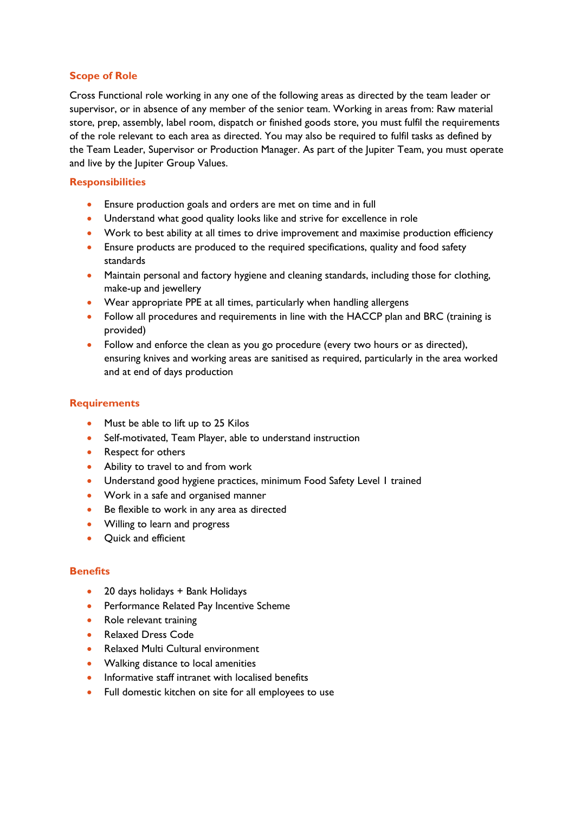#### **Scope of Role**

Cross Functional role working in any one of the following areas as directed by the team leader or supervisor, or in absence of any member of the senior team. Working in areas from: Raw material store, prep, assembly, label room, dispatch or finished goods store, you must fulfil the requirements of the role relevant to each area as directed. You may also be required to fulfil tasks as defined by the Team Leader, Supervisor or Production Manager. As part of the Jupiter Team, you must operate and live by the Jupiter Group Values.

#### **Responsibilities**

- Ensure production goals and orders are met on time and in full
- Understand what good quality looks like and strive for excellence in role
- Work to best ability at all times to drive improvement and maximise production efficiency
- Ensure products are produced to the required specifications, quality and food safety standards
- Maintain personal and factory hygiene and cleaning standards, including those for clothing, make-up and jewellery
- Wear appropriate PPE at all times, particularly when handling allergens
- Follow all procedures and requirements in line with the HACCP plan and BRC (training is provided)
- Follow and enforce the clean as you go procedure (every two hours or as directed), ensuring knives and working areas are sanitised as required, particularly in the area worked and at end of days production

#### **Requirements**

- Must be able to lift up to 25 Kilos
- Self-motivated, Team Player, able to understand instruction
- Respect for others
- Ability to travel to and from work
- Understand good hygiene practices, minimum Food Safety Level 1 trained
- Work in a safe and organised manner
- Be flexible to work in any area as directed
- Willing to learn and progress
- Quick and efficient

#### **Benefits**

- 20 days holidays + Bank Holidays
- Performance Related Pay Incentive Scheme
- Role relevant training
- Relaxed Dress Code
- Relaxed Multi Cultural environment
- Walking distance to local amenities
- Informative staff intranet with localised benefits
- Full domestic kitchen on site for all employees to use